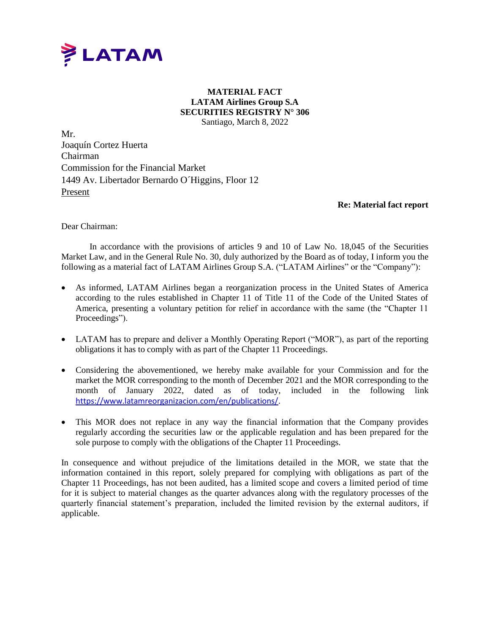

## **MATERIAL FACT LATAM Airlines Group S.A SECURITIES REGISTRY N° 306** Santiago, March 8, 2022

Mr. Joaquín Cortez Huerta Chairman Commission for the Financial Market 1449 Av. Libertador Bernardo O´Higgins, Floor 12 Present

## **Re: Material fact report**

Dear Chairman:

In accordance with the provisions of articles 9 and 10 of Law No. 18,045 of the Securities Market Law, and in the General Rule No. 30, duly authorized by the Board as of today, I inform you the following as a material fact of LATAM Airlines Group S.A. ("LATAM Airlines" or the "Company"):

- As informed, LATAM Airlines began a reorganization process in the United States of America according to the rules established in Chapter 11 of Title 11 of the Code of the United States of America, presenting a voluntary petition for relief in accordance with the same (the "Chapter 11 Proceedings").
- LATAM has to prepare and deliver a Monthly Operating Report ("MOR"), as part of the reporting obligations it has to comply with as part of the Chapter 11 Proceedings.
- Considering the abovementioned, we hereby make available for your Commission and for the market the MOR corresponding to the month of December 2021 and the MOR corresponding to the month of January 2022, dated as of today, included in the following link <https://www.latamreorganizacion.com/en/publications/>.
- This MOR does not replace in any way the financial information that the Company provides regularly according the securities law or the applicable regulation and has been prepared for the sole purpose to comply with the obligations of the Chapter 11 Proceedings.

In consequence and without prejudice of the limitations detailed in the MOR, we state that the information contained in this report, solely prepared for complying with obligations as part of the Chapter 11 Proceedings, has not been audited, has a limited scope and covers a limited period of time for it is subject to material changes as the quarter advances along with the regulatory processes of the quarterly financial statement's preparation, included the limited revision by the external auditors, if applicable.